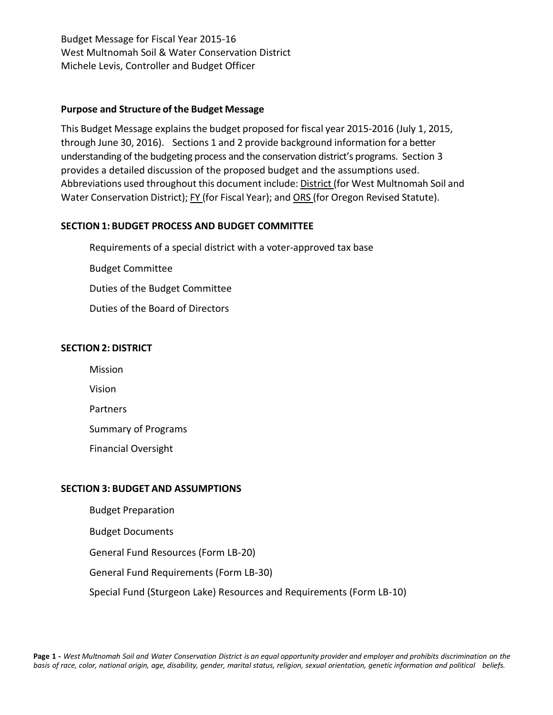#### **Purpose and Structure of the Budget Message**

This Budget Message explains the budget proposed for fiscal year 2015-2016 (July 1, 2015, through June 30, 2016). Sections 1 and 2 provide background information for a better understanding of the budgeting process and the conservation district's programs. Section 3 provides a detailed discussion of the proposed budget and the assumptions used. Abbreviations used throughout this document include: District (for West Multnomah Soil and Water Conservation District); FY (for Fiscal Year); and ORS (for Oregon Revised Statute).

## **SECTION1: BUDGET PROCESS AND BUDGET COMMITTEE**

Requirements of a special district with a voter-approved tax base Budget Committee Duties of the Budget Committee Duties of the Board of Directors

## **SECTION2: DISTRICT**

Mission

Vision

Partners

Summary of Programs

Financial Oversight

## **SECTION 3: BUDGET AND ASSUMPTIONS**

Budget Preparation Budget Documents General Fund Resources (Form LB-20) General Fund Requirements (Form LB-30) Special Fund (Sturgeon Lake) Resources and Requirements (Form LB-10)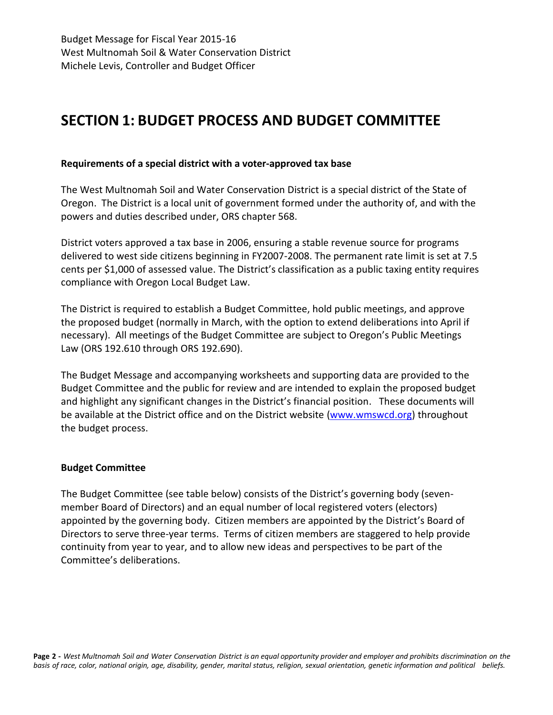# **SECTION 1: BUDGET PROCESS AND BUDGET COMMITTEE**

#### **Requirements of a special district with a voter-approved tax base**

The West Multnomah Soil and Water Conservation District is a special district of the State of Oregon. The District is a local unit of government formed under the authority of, and with the powers and duties described under, ORS chapter 568.

District voters approved a tax base in 2006, ensuring a stable revenue source for programs delivered to west side citizens beginning in FY2007-2008. The permanent rate limit is set at 7.5 cents per \$1,000 of assessed value. The District's classification as a public taxing entity requires compliance with Oregon Local Budget Law.

The District is required to establish a Budget Committee, hold public meetings, and approve the proposed budget (normally in March, with the option to extend deliberations into April if necessary). All meetings of the Budget Committee are subject to Oregon's Public Meetings Law (ORS 192.610 through ORS 192.690).

The Budget Message and accompanying worksheets and supporting data are provided to the Budget Committee and the public for review and are intended to explain the proposed budget and highlight any significant changes in the District's financial position. These documents will be available at the District office and on the District website [\(www.wmswcd.org\)](http://www.wmswcd.org/) throughout the budget process.

#### **Budget Committee**

The Budget Committee (see table below) consists of the District's governing body (sevenmember Board of Directors) and an equal number of local registered voters (electors) appointed by the governing body. Citizen members are appointed by the District's Board of Directors to serve three-year terms. Terms of citizen members are staggered to help provide continuity from year to year, and to allow new ideas and perspectives to be part of the Committee's deliberations.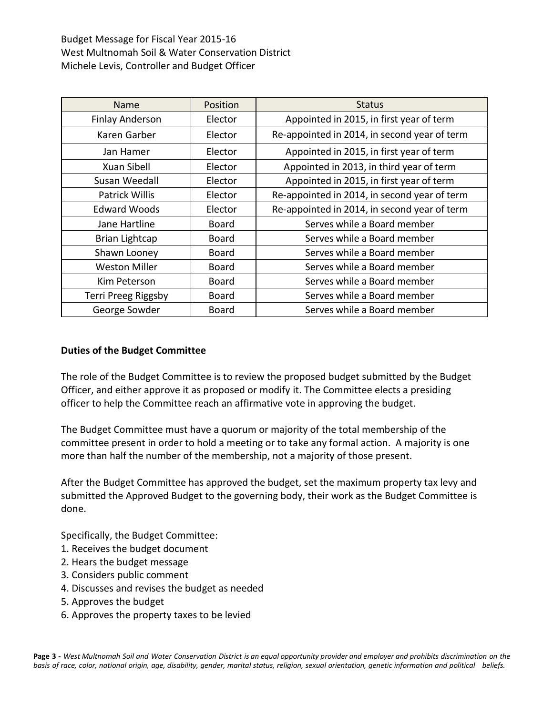| <b>Name</b>            | Position     | <b>Status</b>                                |
|------------------------|--------------|----------------------------------------------|
| <b>Finlay Anderson</b> | Elector      | Appointed in 2015, in first year of term     |
| Karen Garber           | Elector      | Re-appointed in 2014, in second year of term |
| Jan Hamer              | Elector      | Appointed in 2015, in first year of term     |
| Xuan Sibell            | Elector      | Appointed in 2013, in third year of term     |
| Susan Weedall          | Elector      | Appointed in 2015, in first year of term     |
| Patrick Willis         | Elector      | Re-appointed in 2014, in second year of term |
| <b>Edward Woods</b>    | Elector      | Re-appointed in 2014, in second year of term |
| Jane Hartline          | <b>Board</b> | Serves while a Board member                  |
| <b>Brian Lightcap</b>  | <b>Board</b> | Serves while a Board member                  |
| Shawn Looney           | <b>Board</b> | Serves while a Board member                  |
| <b>Weston Miller</b>   | <b>Board</b> | Serves while a Board member                  |
| Kim Peterson           | <b>Board</b> | Serves while a Board member                  |
| Terri Preeg Riggsby    | <b>Board</b> | Serves while a Board member                  |
| George Sowder          | <b>Board</b> | Serves while a Board member                  |

#### **Duties of the Budget Committee**

The role of the Budget Committee is to review the proposed budget submitted by the Budget Officer, and either approve it as proposed or modify it. The Committee elects a presiding officer to help the Committee reach an affirmative vote in approving the budget.

The Budget Committee must have a quorum or majority of the total membership of the committee present in order to hold a meeting or to take any formal action. A majority is one more than half the number of the membership, not a majority of those present.

After the Budget Committee has approved the budget, set the maximum property tax levy and submitted the Approved Budget to the governing body, their work as the Budget Committee is done.

Specifically, the Budget Committee:

- 1. Receives the budget document
- 2. Hears the budget message
- 3. Considers public comment
- 4. Discusses and revises the budget as needed
- 5. Approves the budget
- 6. Approves the property taxes to be levied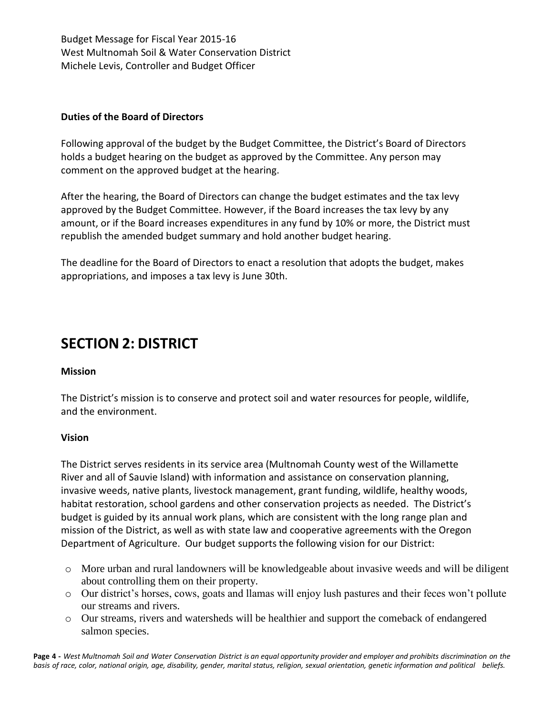## **Duties of the Board of Directors**

Following approval of the budget by the Budget Committee, the District's Board of Directors holds a budget hearing on the budget as approved by the Committee. Any person may comment on the approved budget at the hearing.

After the hearing, the Board of Directors can change the budget estimates and the tax levy approved by the Budget Committee. However, if the Board increases the tax levy by any amount, or if the Board increases expenditures in any fund by 10% or more, the District must republish the amended budget summary and hold another budget hearing.

The deadline for the Board of Directors to enact a resolution that adopts the budget, makes appropriations, and imposes a tax levy is June 30th.

# **SECTION 2: DISTRICT**

#### **Mission**

The District's mission is to conserve and protect soil and water resources for people, wildlife, and the environment.

#### **Vision**

The District serves residents in its service area (Multnomah County west of the Willamette River and all of Sauvie Island) with information and assistance on conservation planning, invasive weeds, native plants, livestock management, grant funding, wildlife, healthy woods, habitat restoration, school gardens and other conservation projects as needed. The District's budget is guided by its annual work plans, which are consistent with the long range plan and mission of the District, as well as with state law and cooperative agreements with the Oregon Department of Agriculture. Our budget supports the following vision for our District:

- o More urban and rural landowners will be knowledgeable about invasive weeds and will be diligent about controlling them on their property.
- o Our district's horses, cows, goats and llamas will enjoy lush pastures and their feces won't pollute our streams and rivers.
- o Our streams, rivers and watersheds will be healthier and support the comeback of endangered salmon species.

Page 4 - West Multnomah Soil and Water Conservation District is an equal opportunity provider and employer and prohibits discrimination on the basis of race, color, national origin, age, disability, gender, marital status, religion, sexual orientation, genetic information and political beliefs.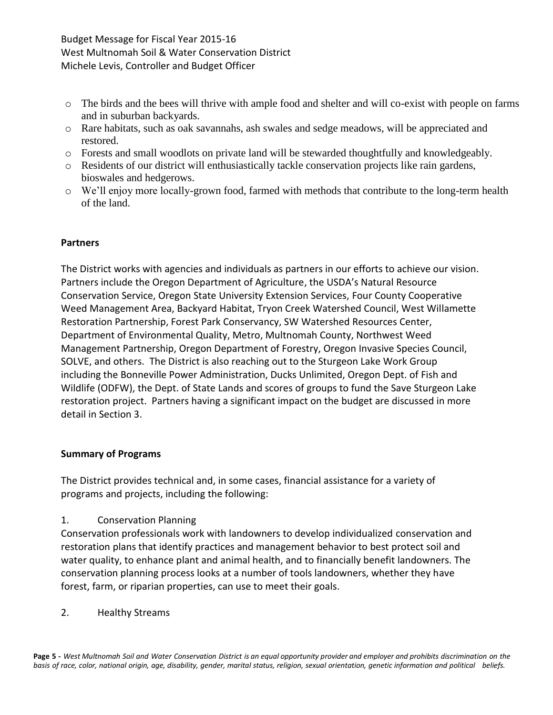- o The birds and the bees will thrive with ample food and shelter and will co-exist with people on farms and in suburban backyards.
- o Rare habitats, such as oak savannahs, ash swales and sedge meadows, will be appreciated and restored.
- o Forests and small woodlots on private land will be stewarded thoughtfully and knowledgeably.
- o Residents of our district will enthusiastically tackle conservation projects like rain gardens, bioswales and hedgerows.
- o We'll enjoy more locally-grown food, farmed with methods that contribute to the long-term health of the land.

## **Partners**

The District works with agencies and individuals as partners in our efforts to achieve our vision. Partners include the Oregon Department of Agriculture, the USDA's Natural Resource Conservation Service, Oregon State University Extension Services, Four County Cooperative Weed Management Area, Backyard Habitat, Tryon Creek Watershed Council, West Willamette Restoration Partnership, Forest Park Conservancy, SW Watershed Resources Center, Department of Environmental Quality, Metro, Multnomah County, Northwest Weed Management Partnership, Oregon Department of Forestry, Oregon Invasive Species Council, SOLVE, and others. The District is also reaching out to the Sturgeon Lake Work Group including the Bonneville Power Administration, Ducks Unlimited, Oregon Dept. of Fish and Wildlife (ODFW), the Dept. of State Lands and scores of groups to fund the Save Sturgeon Lake restoration project. Partners having a significant impact on the budget are discussed in more detail in Section 3.

## **Summary of Programs**

The District provides technical and, in some cases, financial assistance for a variety of programs and projects, including the following:

1. Conservation Planning

Conservation professionals work with landowners to develop individualized conservation and restoration plans that identify practices and management behavior to best protect soil and water quality, to enhance plant and animal health, and to financially benefit landowners. The conservation planning process looks at a number of tools landowners, whether they have forest, farm, or riparian properties, can use to meet their goals.

2. Healthy Streams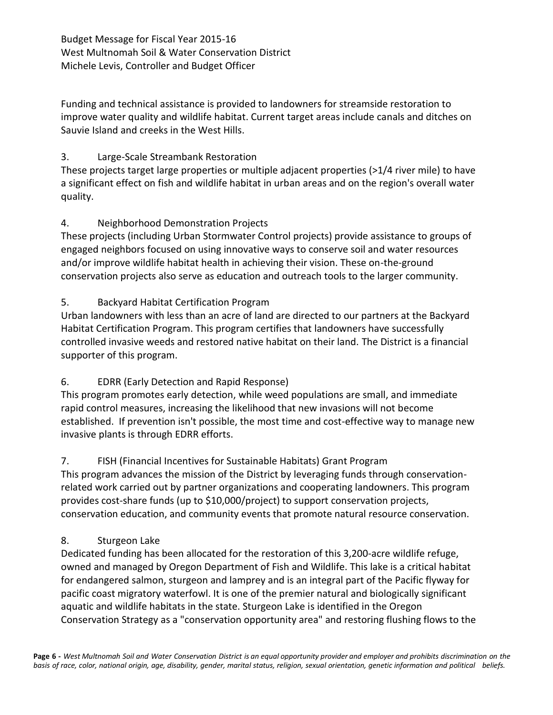Funding and technical assistance is provided to landowners for streamside restoration to improve water quality and wildlife habitat. Current target areas include canals and ditches on Sauvie Island and creeks in the West Hills.

## 3. Large-Scale Streambank Restoration

These projects target large properties or multiple adjacent properties (>1/4 river mile) to have a significant effect on fish and wildlife habitat in urban areas and on the region's overall water quality.

## 4. Neighborhood Demonstration Projects

These projects (including Urban Stormwater Control projects) provide assistance to groups of engaged neighbors focused on using innovative ways to conserve soil and water resources and/or improve wildlife habitat health in achieving their vision. These on-the-ground conservation projects also serve as education and outreach tools to the larger community.

## 5. Backyard Habitat Certification Program

Urban landowners with less than an acre of land are directed to our partners at the Backyard Habitat Certification Program. This program certifies that landowners have successfully controlled invasive weeds and restored native habitat on their land. The District is a financial supporter of this program.

## 6. EDRR (Early Detection and Rapid Response)

This program promotes early detection, while weed populations are small, and immediate rapid control measures, increasing the likelihood that new invasions will not become established. If prevention isn't possible, the most time and cost-effective way to manage new invasive plants is through EDRR efforts.

## 7. FISH (Financial Incentives for Sustainable Habitats) Grant Program

This program advances the mission of the District by leveraging funds through conservationrelated work carried out by partner organizations and cooperating landowners. This program provides cost-share funds (up to \$10,000/project) to support conservation projects, conservation education, and community events that promote natural resource conservation.

## 8. Sturgeon Lake

Dedicated funding has been allocated for the restoration of this 3,200-acre wildlife refuge, owned and managed by Oregon Department of Fish and Wildlife. This lake is a critical habitat for endangered salmon, sturgeon and lamprey and is an integral part of the Pacific flyway for pacific coast migratory waterfowl. It is one of the premier natural and biologically significant aquatic and wildlife habitats in the state. Sturgeon Lake is identified in the Oregon Conservation Strategy as a "conservation opportunity area" and restoring flushing flows to the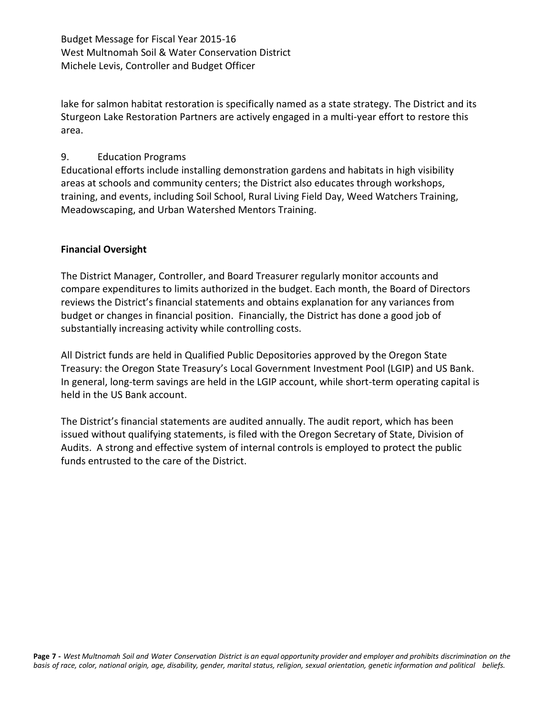lake for salmon habitat restoration is specifically named as a state strategy. The District and its Sturgeon Lake Restoration Partners are actively engaged in a multi-year effort to restore this area.

## 9. Education Programs

Educational efforts include installing demonstration gardens and habitats in high visibility areas at schools and community centers; the District also educates through workshops, training, and events, including Soil School, Rural Living Field Day, Weed Watchers Training, Meadowscaping, and Urban Watershed Mentors Training.

## **Financial Oversight**

The District Manager, Controller, and Board Treasurer regularly monitor accounts and compare expenditures to limits authorized in the budget. Each month, the Board of Directors reviews the District's financial statements and obtains explanation for any variances from budget or changes in financial position. Financially, the District has done a good job of substantially increasing activity while controlling costs.

All District funds are held in Qualified Public Depositories approved by the Oregon State Treasury: the Oregon State Treasury's Local Government Investment Pool (LGIP) and US Bank. In general, long-term savings are held in the LGIP account, while short-term operating capital is held in the US Bank account.

The District's financial statements are audited annually. The audit report, which has been issued without qualifying statements, is filed with the Oregon Secretary of State, Division of Audits. A strong and effective system of internal controls is employed to protect the public funds entrusted to the care of the District.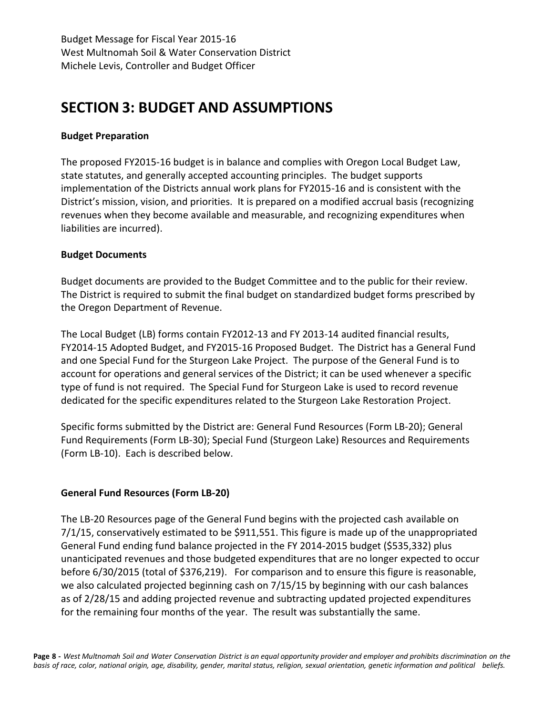# **SECTION 3: BUDGET AND ASSUMPTIONS**

#### **Budget Preparation**

The proposed FY2015-16 budget is in balance and complies with Oregon Local Budget Law, state statutes, and generally accepted accounting principles. The budget supports implementation of the Districts annual work plans for FY2015-16 and is consistent with the District's mission, vision, and priorities. It is prepared on a modified accrual basis (recognizing revenues when they become available and measurable, and recognizing expenditures when liabilities are incurred).

#### **Budget Documents**

Budget documents are provided to the Budget Committee and to the public for their review. The District is required to submit the final budget on standardized budget forms prescribed by the Oregon Department of Revenue.

The Local Budget (LB) forms contain FY2012-13 and FY 2013-14 audited financial results, FY2014-15 Adopted Budget, and FY2015-16 Proposed Budget. The District has a General Fund and one Special Fund for the Sturgeon Lake Project. The purpose of the General Fund is to account for operations and general services of the District; it can be used whenever a specific type of fund is not required. The Special Fund for Sturgeon Lake is used to record revenue dedicated for the specific expenditures related to the Sturgeon Lake Restoration Project.

Specific forms submitted by the District are: General Fund Resources (Form LB-20); General Fund Requirements (Form LB-30); Special Fund (Sturgeon Lake) Resources and Requirements (Form LB-10). Each is described below.

## **General Fund Resources (Form LB-20)**

The LB-20 Resources page of the General Fund begins with the projected cash available on 7/1/15, conservatively estimated to be \$911,551. This figure is made up of the unappropriated General Fund ending fund balance projected in the FY 2014-2015 budget (\$535,332) plus unanticipated revenues and those budgeted expenditures that are no longer expected to occur before 6/30/2015 (total of \$376,219). For comparison and to ensure this figure is reasonable, we also calculated projected beginning cash on 7/15/15 by beginning with our cash balances as of 2/28/15 and adding projected revenue and subtracting updated projected expenditures for the remaining four months of the year. The result was substantially the same.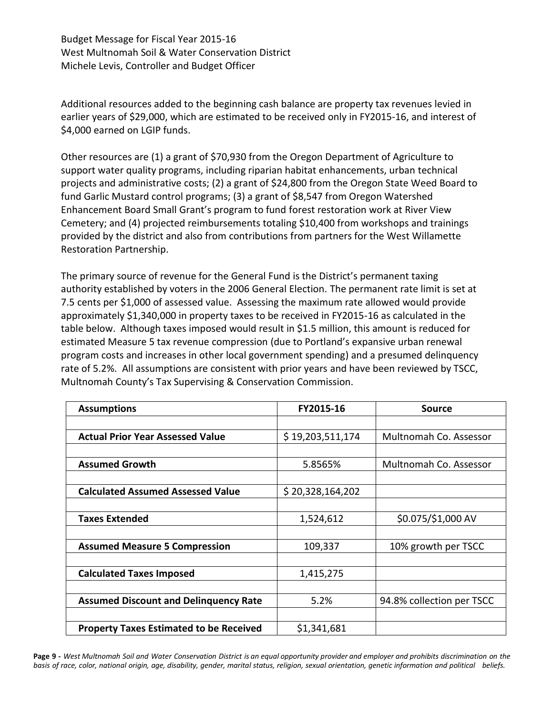Additional resources added to the beginning cash balance are property tax revenues levied in earlier years of \$29,000, which are estimated to be received only in FY2015-16, and interest of \$4,000 earned on LGIP funds.

Other resources are (1) a grant of \$70,930 from the Oregon Department of Agriculture to support water quality programs, including riparian habitat enhancements, urban technical projects and administrative costs; (2) a grant of \$24,800 from the Oregon State Weed Board to fund Garlic Mustard control programs; (3) a grant of \$8,547 from Oregon Watershed Enhancement Board Small Grant's program to fund forest restoration work at River View Cemetery; and (4) projected reimbursements totaling \$10,400 from workshops and trainings provided by the district and also from contributions from partners for the West Willamette Restoration Partnership.

The primary source of revenue for the General Fund is the District's permanent taxing authority established by voters in the 2006 General Election. The permanent rate limit is set at 7.5 cents per \$1,000 of assessed value. Assessing the maximum rate allowed would provide approximately \$1,340,000 in property taxes to be received in FY2015-16 as calculated in the table below. Although taxes imposed would result in \$1.5 million, this amount is reduced for estimated Measure 5 tax revenue compression (due to Portland's expansive urban renewal program costs and increases in other local government spending) and a presumed delinquency rate of 5.2%. All assumptions are consistent with prior years and have been reviewed by TSCC, Multnomah County's Tax Supervising & Conservation Commission.

| <b>Assumptions</b>                             | FY2015-16        | Source                    |
|------------------------------------------------|------------------|---------------------------|
|                                                |                  |                           |
| <b>Actual Prior Year Assessed Value</b>        | \$19,203,511,174 | Multnomah Co. Assessor    |
|                                                |                  |                           |
| <b>Assumed Growth</b>                          | 5.8565%          | Multnomah Co. Assessor    |
|                                                |                  |                           |
| <b>Calculated Assumed Assessed Value</b>       | \$20,328,164,202 |                           |
|                                                |                  |                           |
| <b>Taxes Extended</b>                          | 1,524,612        | \$0.075/\$1,000 AV        |
|                                                |                  |                           |
| <b>Assumed Measure 5 Compression</b>           | 109,337          | 10% growth per TSCC       |
|                                                |                  |                           |
| <b>Calculated Taxes Imposed</b>                | 1,415,275        |                           |
|                                                |                  |                           |
| <b>Assumed Discount and Delinguency Rate</b>   | 5.2%             | 94.8% collection per TSCC |
|                                                |                  |                           |
| <b>Property Taxes Estimated to be Received</b> | \$1,341,681      |                           |

Page 9 - West Multnomah Soil and Water Conservation District is an equal opportunity provider and employer and prohibits discrimination on the basis of race, color, national origin, age, disability, gender, marital status, religion, sexual orientation, genetic information and political beliefs.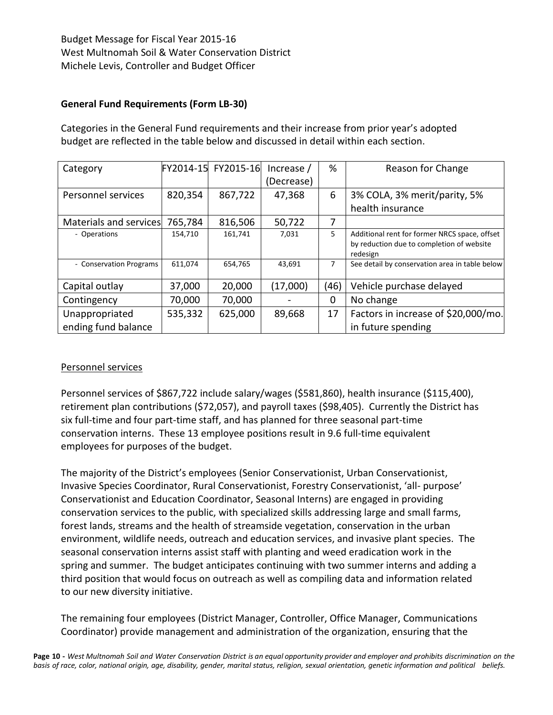## **General Fund Requirements (Form LB-30)**

Categories in the General Fund requirements and their increase from prior year's adopted budget are reflected in the table below and discussed in detail within each section.

| Category                |         | FY2014-15 FY2015-16 | Increase / | %    | Reason for Change                                                                                      |
|-------------------------|---------|---------------------|------------|------|--------------------------------------------------------------------------------------------------------|
|                         |         |                     | (Decrease) |      |                                                                                                        |
| Personnel services      | 820,354 | 867,722             | 47,368     | 6    | 3% COLA, 3% merit/parity, 5%                                                                           |
|                         |         |                     |            |      | health insurance                                                                                       |
| Materials and services  | 765,784 | 816,506             | 50,722     | 7    |                                                                                                        |
| - Operations            | 154,710 | 161,741             | 7,031      | 5.   | Additional rent for former NRCS space, offset<br>by reduction due to completion of website<br>redesign |
| - Conservation Programs | 611,074 | 654,765             | 43,691     | 7    | See detail by conservation area in table below                                                         |
| Capital outlay          | 37,000  | 20,000              | (17,000)   | (46) | Vehicle purchase delayed                                                                               |
| Contingency             | 70,000  | 70,000              |            | 0    | No change                                                                                              |
| Unappropriated          | 535,332 | 625,000             | 89,668     | 17   | Factors in increase of \$20,000/mo.                                                                    |
| ending fund balance     |         |                     |            |      | in future spending                                                                                     |

## Personnel services

Personnel services of \$867,722 include salary/wages (\$581,860), health insurance (\$115,400), retirement plan contributions (\$72,057), and payroll taxes (\$98,405). Currently the District has six full-time and four part-time staff, and has planned for three seasonal part-time conservation interns. These 13 employee positions result in 9.6 full-time equivalent employees for purposes of the budget.

The majority of the District's employees (Senior Conservationist, Urban Conservationist, Invasive Species Coordinator, Rural Conservationist, Forestry Conservationist, 'all- purpose' Conservationist and Education Coordinator, Seasonal Interns) are engaged in providing conservation services to the public, with specialized skills addressing large and small farms, forest lands, streams and the health of streamside vegetation, conservation in the urban environment, wildlife needs, outreach and education services, and invasive plant species. The seasonal conservation interns assist staff with planting and weed eradication work in the spring and summer. The budget anticipates continuing with two summer interns and adding a third position that would focus on outreach as well as compiling data and information related to our new diversity initiative.

The remaining four employees (District Manager, Controller, Office Manager, Communications Coordinator) provide management and administration of the organization, ensuring that the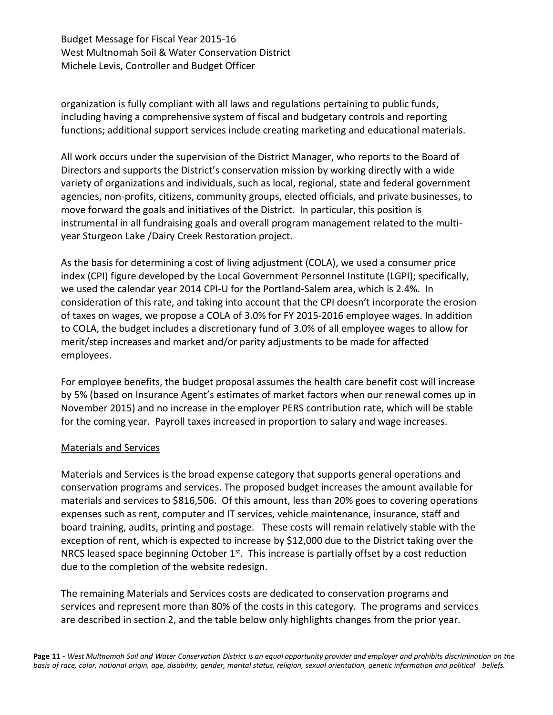organization is fully compliant with all laws and regulations pertaining to public funds, including having a comprehensive system of fiscal and budgetary controls and reporting functions; additional support services include creating marketing and educational materials.

All work occurs under the supervision of the District Manager, who reports to the Board of Directors and supports the District's conservation mission by working directly with a wide variety of organizations and individuals, such as local, regional, state and federal government agencies, non-profits, citizens, community groups, elected officials, and private businesses, to move forward the goals and initiatives of the District. In particular, this position is instrumental in all fundraising goals and overall program management related to the multiyear Sturgeon Lake /Dairy Creek Restoration project.

As the basis for determining a cost of living adjustment (COLA), we used a consumer price index (CPI) figure developed by the Local Government Personnel Institute (LGPI); specifically, we used the calendar year 2014 CPI-U for the Portland-Salem area, which is 2.4%. In consideration of this rate, and taking into account that the CPI doesn't incorporate the erosion of taxes on wages, we propose a COLA of 3.0% for FY 2015-2016 employee wages. In addition to COLA, the budget includes a discretionary fund of 3.0% of all employee wages to allow for merit/step increases and market and/or parity adjustments to be made for affected employees.

For employee benefits, the budget proposal assumes the health care benefit cost will increase by 5% (based on Insurance Agent's estimates of market factors when our renewal comes up in November 2015) and no increase in the employer PERS contribution rate, which will be stable for the coming year. Payroll taxes increased in proportion to salary and wage increases.

#### Materials and Services

Materials and Services is the broad expense category that supports general operations and conservation programs and services. The proposed budget increases the amount available for materials and services to \$816,506. Of this amount, less than 20% goes to covering operations expenses such as rent, computer and IT services, vehicle maintenance, insurance, staff and board training, audits, printing and postage. These costs will remain relatively stable with the exception of rent, which is expected to increase by \$12,000 due to the District taking over the NRCS leased space beginning October  $1<sup>st</sup>$ . This increase is partially offset by a cost reduction due to the completion of the website redesign.

The remaining Materials and Services costs are dedicated to conservation programs and services and represent more than 80% of the costs in this category. The programs and services are described in section 2, and the table below only highlights changes from the prior year.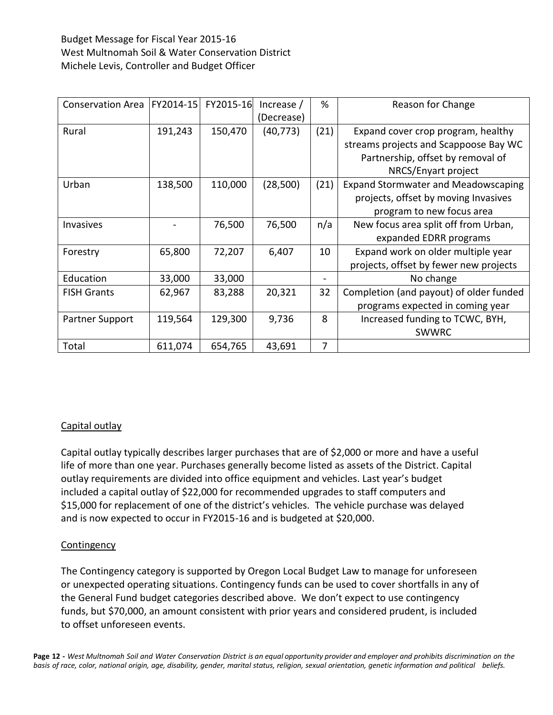| <b>Conservation Area</b> | FY2014-15 | FY2015-16 | Increase / | %    | Reason for Change                          |
|--------------------------|-----------|-----------|------------|------|--------------------------------------------|
|                          |           |           | (Decrease) |      |                                            |
| Rural                    | 191,243   | 150,470   | (40, 773)  | (21) | Expand cover crop program, healthy         |
|                          |           |           |            |      | streams projects and Scappoose Bay WC      |
|                          |           |           |            |      | Partnership, offset by removal of          |
|                          |           |           |            |      | NRCS/Enyart project                        |
| Urban                    | 138,500   | 110,000   | (28,500)   | (21) | <b>Expand Stormwater and Meadowscaping</b> |
|                          |           |           |            |      | projects, offset by moving Invasives       |
|                          |           |           |            |      | program to new focus area                  |
| Invasives                |           | 76,500    | 76,500     | n/a  | New focus area split off from Urban,       |
|                          |           |           |            |      | expanded EDRR programs                     |
| Forestry                 | 65,800    | 72,207    | 6,407      | 10   | Expand work on older multiple year         |
|                          |           |           |            |      | projects, offset by fewer new projects     |
| Education                | 33,000    | 33,000    |            |      | No change                                  |
| <b>FISH Grants</b>       | 62,967    | 83,288    | 20,321     | 32   | Completion (and payout) of older funded    |
|                          |           |           |            |      | programs expected in coming year           |
| Partner Support          | 119,564   | 129,300   | 9,736      | 8    | Increased funding to TCWC, BYH,            |
|                          |           |           |            |      | <b>SWWRC</b>                               |
| Total                    | 611,074   | 654,765   | 43,691     | 7    |                                            |

## Capital outlay

Capital outlay typically describes larger purchases that are of \$2,000 or more and have a useful life of more than one year. Purchases generally become listed as assets of the District. Capital outlay requirements are divided into office equipment and vehicles. Last year's budget included a capital outlay of \$22,000 for recommended upgrades to staff computers and \$15,000 for replacement of one of the district's vehicles. The vehicle purchase was delayed and is now expected to occur in FY2015-16 and is budgeted at \$20,000.

#### **Contingency**

The Contingency category is supported by Oregon Local Budget Law to manage for unforeseen or unexpected operating situations. Contingency funds can be used to cover shortfalls in any of the General Fund budget categories described above. We don't expect to use contingency funds, but \$70,000, an amount consistent with prior years and considered prudent, is included to offset unforeseen events.

Page 12 - West Multnomah Soil and Water Conservation District is an equal opportunity provider and employer and prohibits discrimination on the basis of race, color, national origin, age, disability, gender, marital status, religion, sexual orientation, genetic information and political beliefs.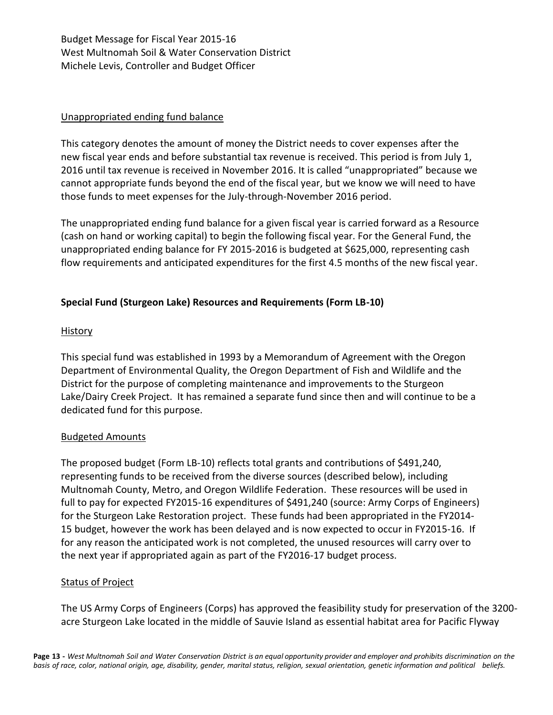#### Unappropriated ending fund balance

This category denotes the amount of money the District needs to cover expenses after the new fiscal year ends and before substantial tax revenue is received. This period is from July 1, 2016 until tax revenue is received in November 2016. It is called "unappropriated" because we cannot appropriate funds beyond the end of the fiscal year, but we know we will need to have those funds to meet expenses for the July-through-November 2016 period.

The unappropriated ending fund balance for a given fiscal year is carried forward as a Resource (cash on hand or working capital) to begin the following fiscal year. For the General Fund, the unappropriated ending balance for FY 2015-2016 is budgeted at \$625,000, representing cash flow requirements and anticipated expenditures for the first 4.5 months of the new fiscal year.

## **Special Fund (Sturgeon Lake) Resources and Requirements (Form LB-10)**

#### History

This special fund was established in 1993 by a Memorandum of Agreement with the Oregon Department of Environmental Quality, the Oregon Department of Fish and Wildlife and the District for the purpose of completing maintenance and improvements to the Sturgeon Lake/Dairy Creek Project. It has remained a separate fund since then and will continue to be a dedicated fund for this purpose.

## Budgeted Amounts

The proposed budget (Form LB-10) reflects total grants and contributions of \$491,240, representing funds to be received from the diverse sources (described below), including Multnomah County, Metro, and Oregon Wildlife Federation. These resources will be used in full to pay for expected FY2015-16 expenditures of \$491,240 (source: Army Corps of Engineers) for the Sturgeon Lake Restoration project. These funds had been appropriated in the FY2014- 15 budget, however the work has been delayed and is now expected to occur in FY2015-16. If for any reason the anticipated work is not completed, the unused resources will carry over to the next year if appropriated again as part of the FY2016-17 budget process.

## **Status of Project**

The US Army Corps of Engineers (Corps) has approved the feasibility study for preservation of the 3200 acre Sturgeon Lake located in the middle of Sauvie Island as essential habitat area for Pacific Flyway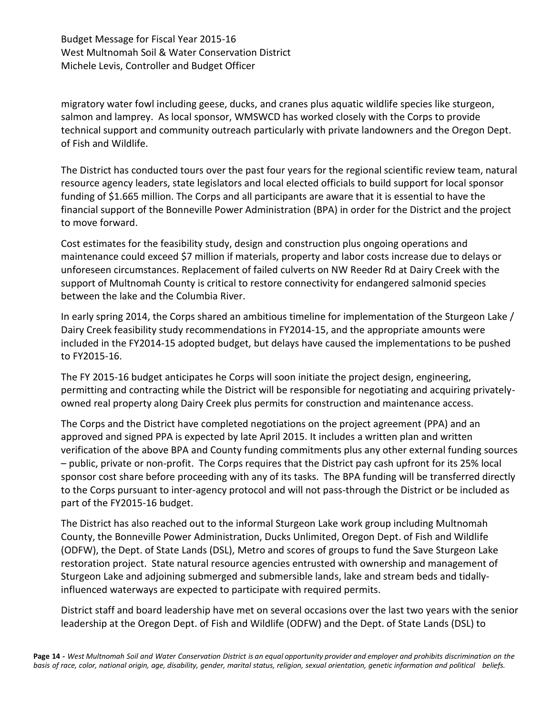migratory water fowl including geese, ducks, and cranes plus aquatic wildlife species like sturgeon, salmon and lamprey. As local sponsor, WMSWCD has worked closely with the Corps to provide technical support and community outreach particularly with private landowners and the Oregon Dept. of Fish and Wildlife.

The District has conducted tours over the past four years for the regional scientific review team, natural resource agency leaders, state legislators and local elected officials to build support for local sponsor funding of \$1.665 million. The Corps and all participants are aware that it is essential to have the financial support of the Bonneville Power Administration (BPA) in order for the District and the project to move forward.

Cost estimates for the feasibility study, design and construction plus ongoing operations and maintenance could exceed \$7 million if materials, property and labor costs increase due to delays or unforeseen circumstances. Replacement of failed culverts on NW Reeder Rd at Dairy Creek with the support of Multnomah County is critical to restore connectivity for endangered salmonid species between the lake and the Columbia River.

In early spring 2014, the Corps shared an ambitious timeline for implementation of the Sturgeon Lake / Dairy Creek feasibility study recommendations in FY2014-15, and the appropriate amounts were included in the FY2014-15 adopted budget, but delays have caused the implementations to be pushed to FY2015-16.

The FY 2015-16 budget anticipates he Corps will soon initiate the project design, engineering, permitting and contracting while the District will be responsible for negotiating and acquiring privatelyowned real property along Dairy Creek plus permits for construction and maintenance access.

The Corps and the District have completed negotiations on the project agreement (PPA) and an approved and signed PPA is expected by late April 2015. It includes a written plan and written verification of the above BPA and County funding commitments plus any other external funding sources – public, private or non-profit. The Corps requires that the District pay cash upfront for its 25% local sponsor cost share before proceeding with any of its tasks. The BPA funding will be transferred directly to the Corps pursuant to inter-agency protocol and will not pass-through the District or be included as part of the FY2015-16 budget.

The District has also reached out to the informal Sturgeon Lake work group including Multnomah County, the Bonneville Power Administration, Ducks Unlimited, Oregon Dept. of Fish and Wildlife (ODFW), the Dept. of State Lands (DSL), Metro and scores of groups to fund the Save Sturgeon Lake restoration project. State natural resource agencies entrusted with ownership and management of Sturgeon Lake and adjoining submerged and submersible lands, lake and stream beds and tidallyinfluenced waterways are expected to participate with required permits.

District staff and board leadership have met on several occasions over the last two years with the senior leadership at the Oregon Dept. of Fish and Wildlife (ODFW) and the Dept. of State Lands (DSL) to